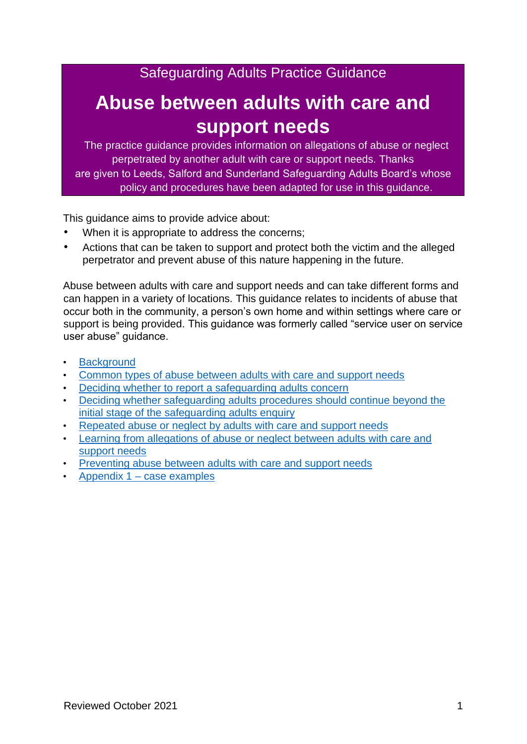Safeguarding Adults Practice Guidance

# **Abuse between adults with care and support needs**

The practice guidance provides information on allegations of abuse or neglect perpetrated by another adult with care or support needs. Thanks are given to Leeds, Salford and Sunderland Safeguarding Adults Board's whose policy and procedures have been adapted for use in this guidance.

This guidance aims to provide advice about:

- When it is appropriate to address the concerns;
- Actions that can be taken to support and protect both the victim and the alleged perpetrator and prevent abuse of this nature happening in the future.

Abuse between adults with care and support needs and can take different forms and can happen in a variety of locations. This guidance relates to incidents of abuse that occur both in the community, a person's own home and within settings where care or support is being provided. This guidance was formerly called "service user on service user abuse" guidance.

- **[Background](#page-1-0)**
- [Common types of abuse between adults with care and support needs](#page-1-1)
- [Deciding whether to report a safeguarding adults concern](#page-2-0)
- [Deciding whether safeguarding adults procedures should continue beyond the](#page-5-0)  [initial stage of the safeguarding adults enquiry](#page-5-0)
- [Repeated abuse or neglect by adults with care and support needs](#page-6-0)
- [Learning from allegations of abuse or neglect between adults with care and](#page-6-1)  [support needs](#page-6-1)
- [Preventing abuse between adults with care and support needs](#page-7-0)
- Appendix 1 [case examples](#page-9-0)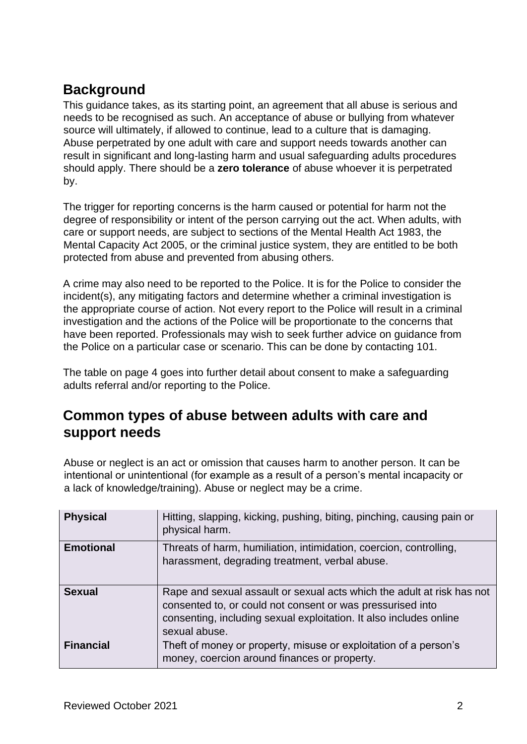# <span id="page-1-0"></span>**Background**

This guidance takes, as its starting point, an agreement that all abuse is serious and needs to be recognised as such. An acceptance of abuse or bullying from whatever source will ultimately, if allowed to continue, lead to a culture that is damaging. Abuse perpetrated by one adult with care and support needs towards another can result in significant and long-lasting harm and usual safeguarding adults procedures should apply. There should be a **zero tolerance** of abuse whoever it is perpetrated by.

The trigger for reporting concerns is the harm caused or potential for harm not the degree of responsibility or intent of the person carrying out the act. When adults, with care or support needs, are subject to sections of the Mental Health Act 1983, the Mental Capacity Act 2005, or the criminal justice system, they are entitled to be both protected from abuse and prevented from abusing others.

A crime may also need to be reported to the Police. It is for the Police to consider the incident(s), any mitigating factors and determine whether a criminal investigation is the appropriate course of action. Not every report to the Police will result in a criminal investigation and the actions of the Police will be proportionate to the concerns that have been reported. Professionals may wish to seek further advice on guidance from the Police on a particular case or scenario. This can be done by contacting 101.

The table on page 4 goes into further detail about consent to make a safeguarding adults referral and/or reporting to the Police.

## <span id="page-1-1"></span>**Common types of abuse between adults with care and support needs**

Abuse or neglect is an act or omission that causes harm to another person. It can be intentional or unintentional (for example as a result of a person's mental incapacity or a lack of knowledge/training). Abuse or neglect may be a crime.

| <b>Physical</b>  | Hitting, slapping, kicking, pushing, biting, pinching, causing pain or<br>physical harm.                                                                                                                                    |
|------------------|-----------------------------------------------------------------------------------------------------------------------------------------------------------------------------------------------------------------------------|
| <b>Emotional</b> | Threats of harm, humiliation, intimidation, coercion, controlling,<br>harassment, degrading treatment, verbal abuse.                                                                                                        |
| <b>Sexual</b>    | Rape and sexual assault or sexual acts which the adult at risk has not<br>consented to, or could not consent or was pressurised into<br>consenting, including sexual exploitation. It also includes online<br>sexual abuse. |
| <b>Financial</b> | Theft of money or property, misuse or exploitation of a person's<br>money, coercion around finances or property.                                                                                                            |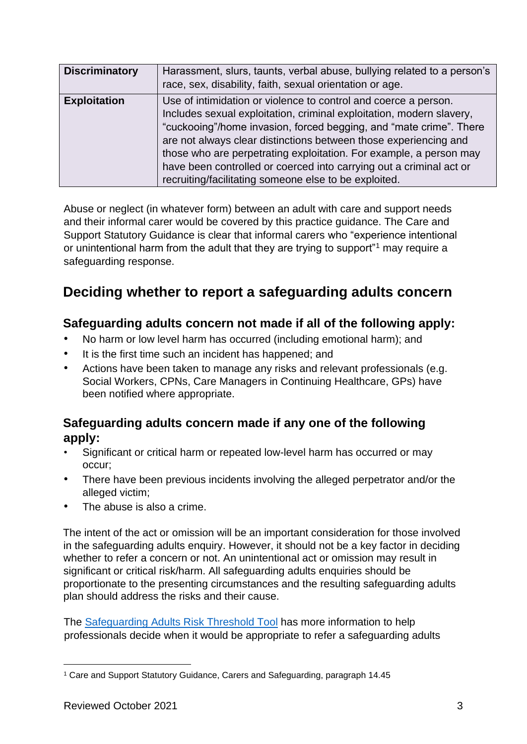| <b>Discriminatory</b> | Harassment, slurs, taunts, verbal abuse, bullying related to a person's<br>race, sex, disability, faith, sexual orientation or age.                                                                                                                                                                                                                                                                                                                                                     |
|-----------------------|-----------------------------------------------------------------------------------------------------------------------------------------------------------------------------------------------------------------------------------------------------------------------------------------------------------------------------------------------------------------------------------------------------------------------------------------------------------------------------------------|
| <b>Exploitation</b>   | Use of intimidation or violence to control and coerce a person.<br>Includes sexual exploitation, criminal exploitation, modern slavery,<br>"cuckooing"/home invasion, forced begging, and "mate crime". There<br>are not always clear distinctions between those experiencing and<br>those who are perpetrating exploitation. For example, a person may<br>have been controlled or coerced into carrying out a criminal act or<br>recruiting/facilitating someone else to be exploited. |

Abuse or neglect (in whatever form) between an adult with care and support needs and their informal carer would be covered by this practice guidance. The Care and Support Statutory Guidance is clear that informal carers who "experience intentional or unintentional harm from the adult that they are trying to support<sup>"1</sup> may require a safeguarding response.

# <span id="page-2-0"></span>**Deciding whether to report a safeguarding adults concern**

#### **Safeguarding adults concern not made if all of the following apply:**

- No harm or low level harm has occurred (including emotional harm); and
- It is the first time such an incident has happened; and
- Actions have been taken to manage any risks and relevant professionals (e.g. Social Workers, CPNs, Care Managers in Continuing Healthcare, GPs) have been notified where appropriate.

#### **Safeguarding adults concern made if any one of the following apply:**

- Significant or critical harm or repeated low-level harm has occurred or may occur;
- There have been previous incidents involving the alleged perpetrator and/or the alleged victim;
- The abuse is also a crime.

The intent of the act or omission will be an important consideration for those involved in the safeguarding adults enquiry. However, it should not be a key factor in deciding whether to refer a concern or not. An unintentional act or omission may result in significant or critical risk/harm. All safeguarding adults enquiries should be proportionate to the presenting circumstances and the resulting safeguarding adults plan should address the risks and their cause.

The [Safeguarding Adults Risk Threshold Tool](https://www.newcastlesafeguarding.org.uk/wp-content/uploads/2019/09/T1-Threshold-nsab_safeguarding_adults_risk_threshold_tool_0-1_0.docx) has more information to help professionals decide when it would be appropriate to refer a safeguarding adults

<sup>1</sup> Care and Support Statutory Guidance, Carers and Safeguarding, paragraph 14.45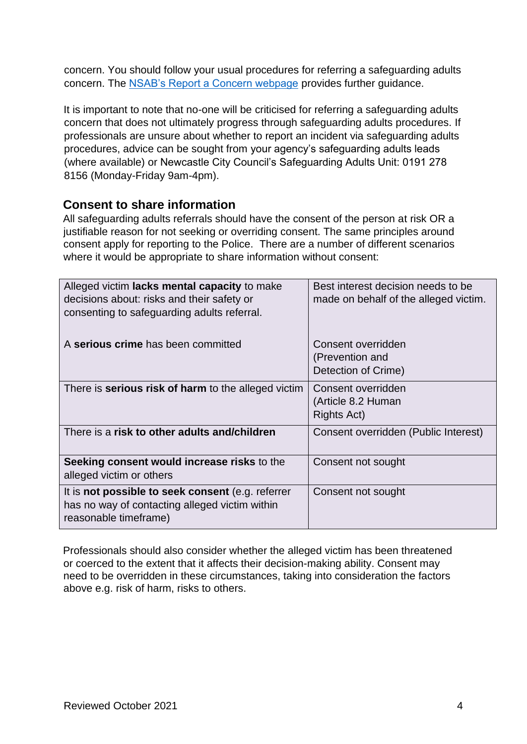concern. You should follow your usual procedures for referring a safeguarding adults concern. The [NSAB's Report a Concern webpage](https://www.newcastlesafeguarding.org.uk/report-a-concern/) provides further guidance.

It is important to note that no-one will be criticised for referring a safeguarding adults concern that does not ultimately progress through safeguarding adults procedures. If professionals are unsure about whether to report an incident via safeguarding adults procedures, advice can be sought from your agency's safeguarding adults leads (where available) or Newcastle City Council's Safeguarding Adults Unit: 0191 278 8156 (Monday-Friday 9am-4pm).

#### **Consent to share information**

All safeguarding adults referrals should have the consent of the person at risk OR a justifiable reason for not seeking or overriding consent. The same principles around consent apply for reporting to the Police. There are a number of different scenarios where it would be appropriate to share information without consent:

| Alleged victim lacks mental capacity to make<br>decisions about: risks and their safety or<br>consenting to safeguarding adults referral. | Best interest decision needs to be<br>made on behalf of the alleged victim. |
|-------------------------------------------------------------------------------------------------------------------------------------------|-----------------------------------------------------------------------------|
| A serious crime has been committed                                                                                                        | Consent overridden<br>(Prevention and<br>Detection of Crime)                |
| There is <b>serious risk of harm</b> to the alleged victim                                                                                | Consent overridden<br>(Article 8.2 Human<br>Rights Act)                     |
| There is a risk to other adults and/children                                                                                              | Consent overridden (Public Interest)                                        |
| Seeking consent would increase risks to the<br>alleged victim or others                                                                   | Consent not sought                                                          |
| It is not possible to seek consent (e.g. referrer<br>has no way of contacting alleged victim within<br>reasonable timeframe)              | Consent not sought                                                          |

Professionals should also consider whether the alleged victim has been threatened or coerced to the extent that it affects their decision-making ability. Consent may need to be overridden in these circumstances, taking into consideration the factors above e.g. risk of harm, risks to others.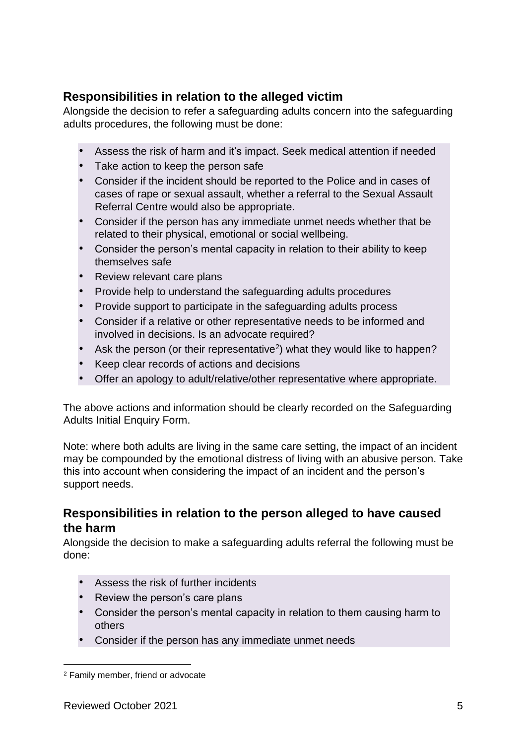#### **Responsibilities in relation to the alleged victim**

Alongside the decision to refer a safeguarding adults concern into the safeguarding adults procedures, the following must be done:

- Assess the risk of harm and it's impact. Seek medical attention if needed
- Take action to keep the person safe
- Consider if the incident should be reported to the Police and in cases of cases of rape or sexual assault, whether a referral to the Sexual Assault Referral Centre would also be appropriate.
- Consider if the person has any immediate unmet needs whether that be related to their physical, emotional or social wellbeing.
- Consider the person's mental capacity in relation to their ability to keep themselves safe
- Review relevant care plans
- Provide help to understand the safeguarding adults procedures
- Provide support to participate in the safeguarding adults process
- Consider if a relative or other representative needs to be informed and involved in decisions. Is an advocate required?
- Ask the person (or their representative<sup>2</sup>) what they would like to happen?
- Keep clear records of actions and decisions
- Offer an apology to adult/relative/other representative where appropriate.

The above actions and information should be clearly recorded on the Safeguarding Adults Initial Enquiry Form.

Note: where both adults are living in the same care setting, the impact of an incident may be compounded by the emotional distress of living with an abusive person. Take this into account when considering the impact of an incident and the person's support needs.

#### **Responsibilities in relation to the person alleged to have caused the harm**

Alongside the decision to make a safeguarding adults referral the following must be done:

- Assess the risk of further incidents
- Review the person's care plans
- Consider the person's mental capacity in relation to them causing harm to others
- Consider if the person has any immediate unmet needs

<sup>2</sup> Family member, friend or advocate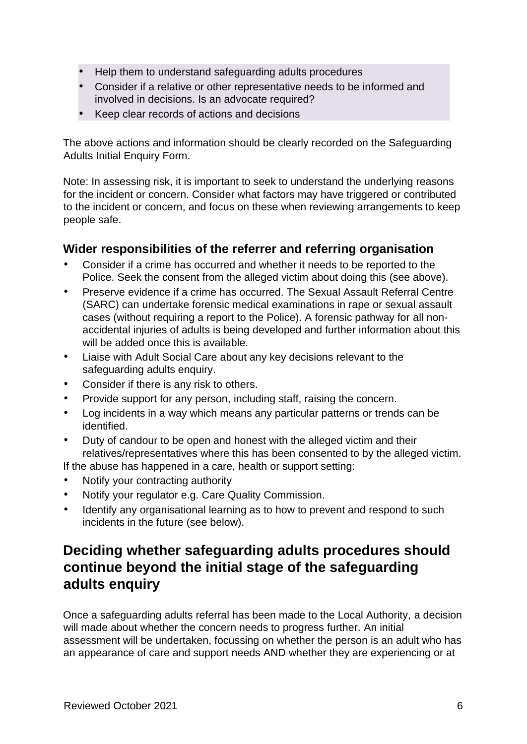- Help them to understand safeguarding adults procedures
- Consider if a relative or other representative needs to be informed and involved in decisions. Is an advocate required?
- Keep clear records of actions and decisions

The above actions and information should be clearly recorded on the Safeguarding Adults Initial Enquiry Form.

Note: In assessing risk, it is important to seek to understand the underlying reasons for the incident or concern. Consider what factors may have triggered or contributed to the incident or concern, and focus on these when reviewing arrangements to keep people safe.

#### **Wider responsibilities of the referrer and referring organisation**

- Consider if a crime has occurred and whether it needs to be reported to the Police. Seek the consent from the alleged victim about doing this (see above).
- Preserve evidence if a crime has occurred. The Sexual Assault Referral Centre (SARC) can undertake forensic medical examinations in rape or sexual assault cases (without requiring a report to the Police). A forensic pathway for all nonaccidental injuries of adults is being developed and further information about this will be added once this is available.
- Liaise with Adult Social Care about any key decisions relevant to the safeguarding adults enquiry.
- Consider if there is any risk to others.
- Provide support for any person, including staff, raising the concern.
- Log incidents in a way which means any particular patterns or trends can be identified.
- Duty of candour to be open and honest with the alleged victim and their relatives/representatives where this has been consented to by the alleged victim.

If the abuse has happened in a care, health or support setting:

- Notify your contracting authority
- Notify your regulator e.g. Care Quality Commission.
- Identify any organisational learning as to how to prevent and respond to such incidents in the future (see below).

# <span id="page-5-0"></span>**Deciding whether safeguarding adults procedures should continue beyond the initial stage of the safeguarding adults enquiry**

Once a safeguarding adults referral has been made to the Local Authority, a decision will made about whether the concern needs to progress further. An initial assessment will be undertaken, focussing on whether the person is an adult who has an appearance of care and support needs AND whether they are experiencing or at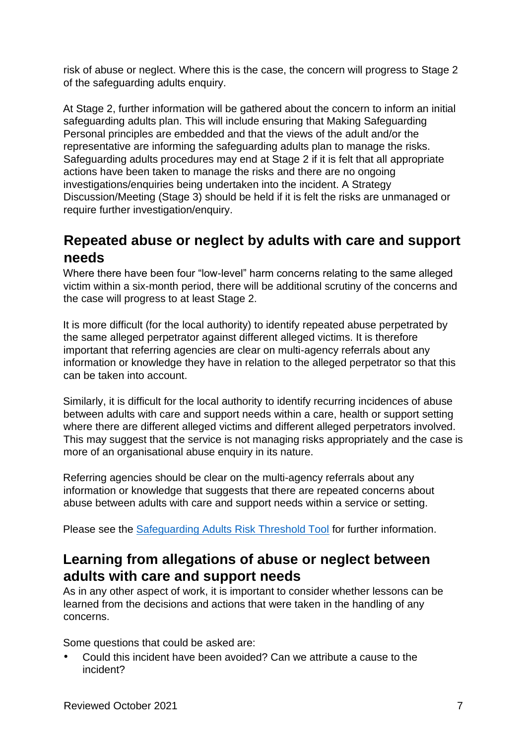risk of abuse or neglect. Where this is the case, the concern will progress to Stage 2 of the safeguarding adults enquiry.

At Stage 2, further information will be gathered about the concern to inform an initial safeguarding adults plan. This will include ensuring that Making Safeguarding Personal principles are embedded and that the views of the adult and/or the representative are informing the safeguarding adults plan to manage the risks. Safeguarding adults procedures may end at Stage 2 if it is felt that all appropriate actions have been taken to manage the risks and there are no ongoing investigations/enquiries being undertaken into the incident. A Strategy Discussion/Meeting (Stage 3) should be held if it is felt the risks are unmanaged or require further investigation/enquiry.

# <span id="page-6-0"></span>**Repeated abuse or neglect by adults with care and support needs**

Where there have been four "low-level" harm concerns relating to the same alleged victim within a six-month period, there will be additional scrutiny of the concerns and the case will progress to at least Stage 2.

It is more difficult (for the local authority) to identify repeated abuse perpetrated by the same alleged perpetrator against different alleged victims. It is therefore important that referring agencies are clear on multi-agency referrals about any information or knowledge they have in relation to the alleged perpetrator so that this can be taken into account.

Similarly, it is difficult for the local authority to identify recurring incidences of abuse between adults with care and support needs within a care, health or support setting where there are different alleged victims and different alleged perpetrators involved. This may suggest that the service is not managing risks appropriately and the case is more of an organisational abuse enquiry in its nature.

Referring agencies should be clear on the multi-agency referrals about any information or knowledge that suggests that there are repeated concerns about abuse between adults with care and support needs within a service or setting.

Please see the [Safeguarding Adults Risk Threshold Tool](https://www.newcastlesafeguarding.org.uk/wp-content/uploads/2019/09/T1-Threshold-nsab_safeguarding_adults_risk_threshold_tool_0-1_0.docx) for further information.

# <span id="page-6-1"></span>**Learning from allegations of abuse or neglect between adults with care and support needs**

As in any other aspect of work, it is important to consider whether lessons can be learned from the decisions and actions that were taken in the handling of any concerns.

Some questions that could be asked are:

• Could this incident have been avoided? Can we attribute a cause to the incident?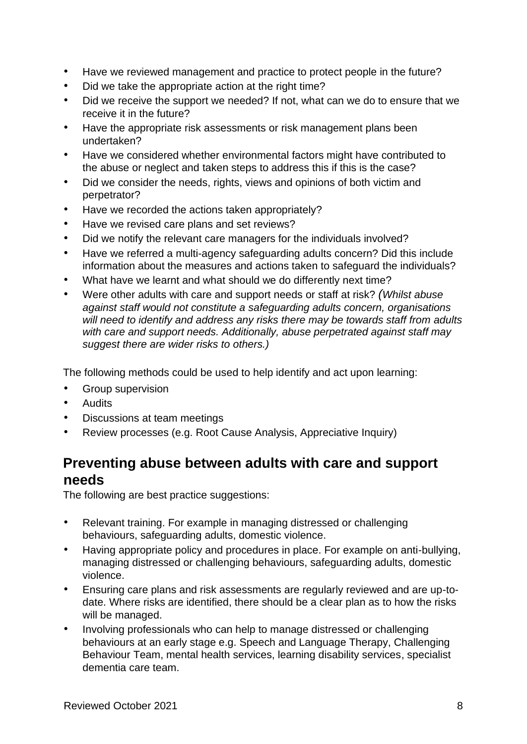- Have we reviewed management and practice to protect people in the future?
- Did we take the appropriate action at the right time?
- Did we receive the support we needed? If not, what can we do to ensure that we receive it in the future?
- Have the appropriate risk assessments or risk management plans been undertaken?
- Have we considered whether environmental factors might have contributed to the abuse or neglect and taken steps to address this if this is the case?
- Did we consider the needs, rights, views and opinions of both victim and perpetrator?
- Have we recorded the actions taken appropriately?
- Have we revised care plans and set reviews?
- Did we notify the relevant care managers for the individuals involved?
- Have we referred a multi-agency safeguarding adults concern? Did this include information about the measures and actions taken to safeguard the individuals?
- What have we learnt and what should we do differently next time?
- Were other adults with care and support needs or staff at risk? *(Whilst abuse against staff would not constitute a safeguarding adults concern, organisations will need to identify and address any risks there may be towards staff from adults with care and support needs. Additionally, abuse perpetrated against staff may suggest there are wider risks to others.)*

The following methods could be used to help identify and act upon learning:

- Group supervision
- Audits
- Discussions at team meetings
- Review processes (e.g. Root Cause Analysis, Appreciative Inquiry)

### <span id="page-7-0"></span>**Preventing abuse between adults with care and support needs**

The following are best practice suggestions:

- Relevant training. For example in managing distressed or challenging behaviours, safeguarding adults, domestic violence.
- Having appropriate policy and procedures in place. For example on anti-bullying, managing distressed or challenging behaviours, safeguarding adults, domestic violence.
- Ensuring care plans and risk assessments are regularly reviewed and are up-todate. Where risks are identified, there should be a clear plan as to how the risks will be managed.
- Involving professionals who can help to manage distressed or challenging behaviours at an early stage e.g. Speech and Language Therapy, Challenging Behaviour Team, mental health services, learning disability services, specialist dementia care team.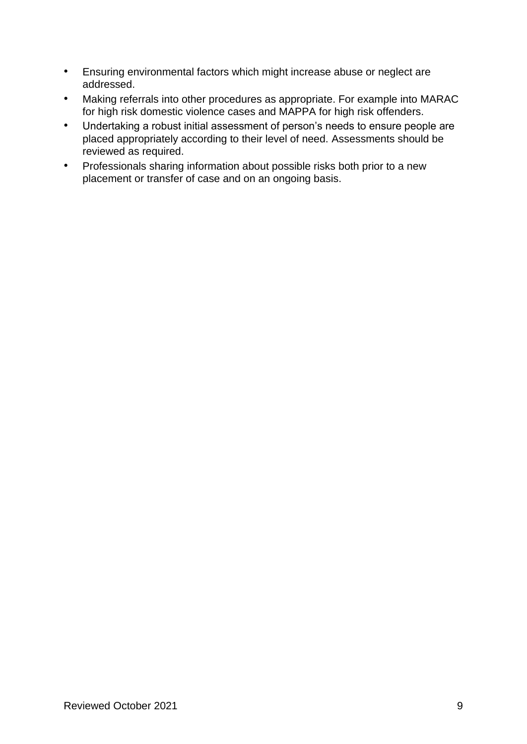- Ensuring environmental factors which might increase abuse or neglect are addressed.
- Making referrals into other procedures as appropriate. For example into MARAC for high risk domestic violence cases and MAPPA for high risk offenders.
- Undertaking a robust initial assessment of person's needs to ensure people are placed appropriately according to their level of need. Assessments should be reviewed as required.
- Professionals sharing information about possible risks both prior to a new placement or transfer of case and on an ongoing basis.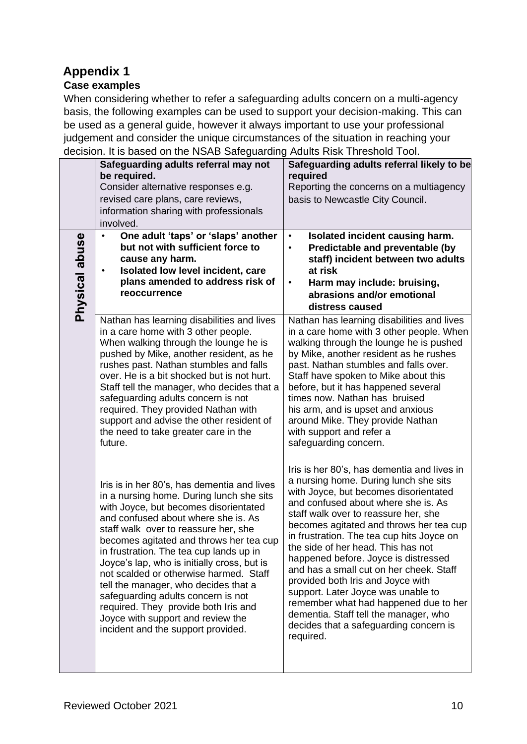# <span id="page-9-0"></span>**Appendix 1**

#### **Case examples**

When considering whether to refer a safeguarding adults concern on a multi-agency basis, the following examples can be used to support your decision-making. This can be used as a general guide, however it always important to use your professional judgement and consider the unique circumstances of the situation in reaching your decision. It is based on the NSAB Safeguarding Adults Risk Threshold Tool.

|                | Safeguarding adults referral may not<br>be required.<br>Consider alternative responses e.g.<br>revised care plans, care reviews,<br>information sharing with professionals<br>involved.                                                                                                                                                                                                                                                                                                                                                                                                         | Safeguarding adults referral likely to be<br>required<br>Reporting the concerns on a multiagency<br>basis to Newcastle City Council.                                                                                                                                                                                                                                                                                                                                                                                                                                                                                                              |
|----------------|-------------------------------------------------------------------------------------------------------------------------------------------------------------------------------------------------------------------------------------------------------------------------------------------------------------------------------------------------------------------------------------------------------------------------------------------------------------------------------------------------------------------------------------------------------------------------------------------------|---------------------------------------------------------------------------------------------------------------------------------------------------------------------------------------------------------------------------------------------------------------------------------------------------------------------------------------------------------------------------------------------------------------------------------------------------------------------------------------------------------------------------------------------------------------------------------------------------------------------------------------------------|
| Physical abuse | One adult 'taps' or 'slaps' another<br>but not with sufficient force to<br>cause any harm.<br>Isolated low level incident, care<br>plans amended to address risk of<br>reoccurrence                                                                                                                                                                                                                                                                                                                                                                                                             | Isolated incident causing harm.<br>$\bullet$<br>Predictable and preventable (by<br>$\bullet$<br>staff) incident between two adults<br>at risk<br>Harm may include: bruising,<br>$\bullet$<br>abrasions and/or emotional<br>distress caused                                                                                                                                                                                                                                                                                                                                                                                                        |
|                | Nathan has learning disabilities and lives<br>in a care home with 3 other people.<br>When walking through the lounge he is<br>pushed by Mike, another resident, as he<br>rushes past. Nathan stumbles and falls<br>over. He is a bit shocked but is not hurt.<br>Staff tell the manager, who decides that a<br>safeguarding adults concern is not<br>required. They provided Nathan with<br>support and advise the other resident of<br>the need to take greater care in the<br>future.                                                                                                         | Nathan has learning disabilities and lives<br>in a care home with 3 other people. When<br>walking through the lounge he is pushed<br>by Mike, another resident as he rushes<br>past. Nathan stumbles and falls over.<br>Staff have spoken to Mike about this<br>before, but it has happened several<br>times now. Nathan has bruised<br>his arm, and is upset and anxious<br>around Mike. They provide Nathan<br>with support and refer a<br>safeguarding concern.                                                                                                                                                                                |
|                | Iris is in her 80's, has dementia and lives<br>in a nursing home. During lunch she sits<br>with Joyce, but becomes disorientated<br>and confused about where she is. As<br>staff walk over to reassure her, she<br>becomes agitated and throws her tea cup<br>in frustration. The tea cup lands up in<br>Joyce's lap, who is initially cross, but is<br>not scalded or otherwise harmed. Staff<br>tell the manager, who decides that a<br>safeguarding adults concern is not<br>required. They provide both Iris and<br>Joyce with support and review the<br>incident and the support provided. | Iris is her 80's, has dementia and lives in<br>a nursing home. During lunch she sits<br>with Joyce, but becomes disorientated<br>and confused about where she is. As<br>staff walk over to reassure her, she<br>becomes agitated and throws her tea cup<br>in frustration. The tea cup hits Joyce on<br>the side of her head. This has not<br>happened before. Joyce is distressed<br>and has a small cut on her cheek. Staff<br>provided both Iris and Joyce with<br>support. Later Joyce was unable to<br>remember what had happened due to her<br>dementia. Staff tell the manager, who<br>decides that a safeguarding concern is<br>required. |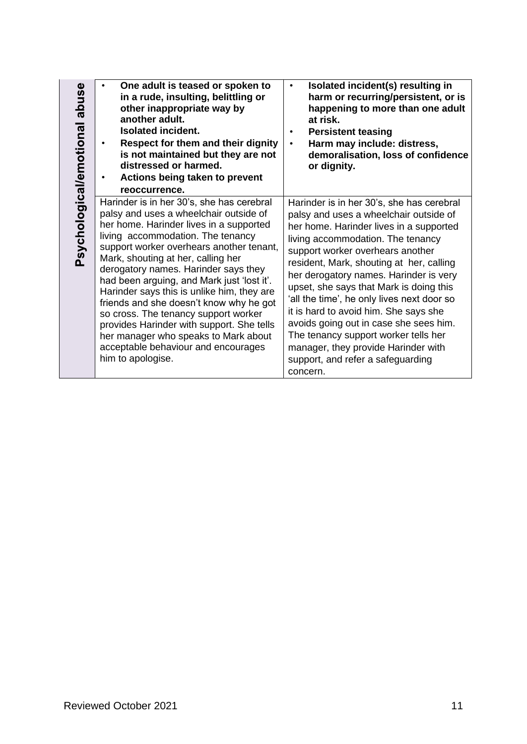| abuse<br>Psychological/emotional | One adult is teased or spoken to<br>in a rude, insulting, belittling or<br>other inappropriate way by<br>another adult.<br><b>Isolated incident.</b><br>Respect for them and their dignity<br>$\bullet$<br>is not maintained but they are not<br>distressed or harmed.<br>Actions being taken to prevent<br>$\bullet$<br>reoccurrence.                                                                                                                                                                                                                                                                                        | Isolated incident(s) resulting in<br>harm or recurring/persistent, or is<br>happening to more than one adult<br>at risk.<br><b>Persistent teasing</b><br>Harm may include: distress,<br>$\bullet$<br>demoralisation, loss of confidence<br>or dignity.                                                                                                                                                                                                                                                                                                                                                    |
|----------------------------------|-------------------------------------------------------------------------------------------------------------------------------------------------------------------------------------------------------------------------------------------------------------------------------------------------------------------------------------------------------------------------------------------------------------------------------------------------------------------------------------------------------------------------------------------------------------------------------------------------------------------------------|-----------------------------------------------------------------------------------------------------------------------------------------------------------------------------------------------------------------------------------------------------------------------------------------------------------------------------------------------------------------------------------------------------------------------------------------------------------------------------------------------------------------------------------------------------------------------------------------------------------|
|                                  | Harinder is in her 30's, she has cerebral<br>palsy and uses a wheelchair outside of<br>her home. Harinder lives in a supported<br>living accommodation. The tenancy<br>support worker overhears another tenant,<br>Mark, shouting at her, calling her<br>derogatory names. Harinder says they<br>had been arguing, and Mark just 'lost it'.<br>Harinder says this is unlike him, they are<br>friends and she doesn't know why he got<br>so cross. The tenancy support worker<br>provides Harinder with support. She tells<br>her manager who speaks to Mark about<br>acceptable behaviour and encourages<br>him to apologise. | Harinder is in her 30's, she has cerebral<br>palsy and uses a wheelchair outside of<br>her home. Harinder lives in a supported<br>living accommodation. The tenancy<br>support worker overhears another<br>resident, Mark, shouting at her, calling<br>her derogatory names. Harinder is very<br>upset, she says that Mark is doing this<br>'all the time', he only lives next door so<br>it is hard to avoid him. She says she<br>avoids going out in case she sees him.<br>The tenancy support worker tells her<br>manager, they provide Harinder with<br>support, and refer a safeguarding<br>concern. |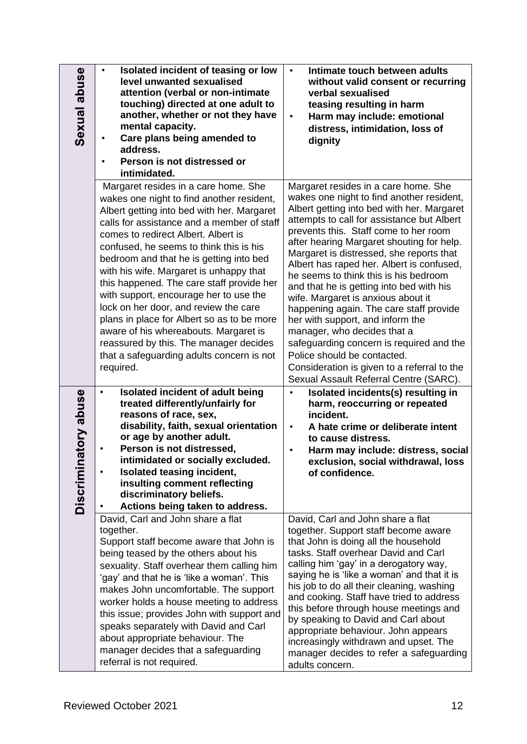| Sexual abuse             | Isolated incident of teasing or low<br>$\bullet$<br>level unwanted sexualised<br>attention (verbal or non-intimate<br>touching) directed at one adult to<br>another, whether or not they have<br>mental capacity.<br>Care plans being amended to<br>address.<br>Person is not distressed or<br>intimidated.                                                                                                                                                                                                                                                                                                                                                                      | Intimate touch between adults<br>$\bullet$<br>without valid consent or recurring<br>verbal sexualised<br>teasing resulting in harm<br>Harm may include: emotional<br>$\bullet$<br>distress, intimidation, loss of<br>dignity                                                                                                                                                                                                                                                                                                                                                                                                                                                                                                                                              |
|--------------------------|----------------------------------------------------------------------------------------------------------------------------------------------------------------------------------------------------------------------------------------------------------------------------------------------------------------------------------------------------------------------------------------------------------------------------------------------------------------------------------------------------------------------------------------------------------------------------------------------------------------------------------------------------------------------------------|---------------------------------------------------------------------------------------------------------------------------------------------------------------------------------------------------------------------------------------------------------------------------------------------------------------------------------------------------------------------------------------------------------------------------------------------------------------------------------------------------------------------------------------------------------------------------------------------------------------------------------------------------------------------------------------------------------------------------------------------------------------------------|
|                          | Margaret resides in a care home. She<br>wakes one night to find another resident,<br>Albert getting into bed with her. Margaret<br>calls for assistance and a member of staff<br>comes to redirect Albert. Albert is<br>confused, he seems to think this is his<br>bedroom and that he is getting into bed<br>with his wife. Margaret is unhappy that<br>this happened. The care staff provide her<br>with support, encourage her to use the<br>lock on her door, and review the care<br>plans in place for Albert so as to be more<br>aware of his whereabouts. Margaret is<br>reassured by this. The manager decides<br>that a safeguarding adults concern is not<br>required. | Margaret resides in a care home. She<br>wakes one night to find another resident,<br>Albert getting into bed with her. Margaret<br>attempts to call for assistance but Albert<br>prevents this. Staff come to her room<br>after hearing Margaret shouting for help.<br>Margaret is distressed, she reports that<br>Albert has raped her. Albert is confused,<br>he seems to think this is his bedroom<br>and that he is getting into bed with his<br>wife. Margaret is anxious about it<br>happening again. The care staff provide<br>her with support, and inform the<br>manager, who decides that a<br>safeguarding concern is required and the<br>Police should be contacted.<br>Consideration is given to a referral to the<br>Sexual Assault Referral Centre (SARC). |
| atory abuse<br>Discrimin | Isolated incident of adult being<br>$\bullet$<br>treated differently/unfairly for<br>reasons of race, sex,<br>disability, faith, sexual orientation<br>or age by another adult.<br>Person is not distressed,<br>$\bullet$<br>intimidated or socially excluded.<br>Isolated teasing incident,<br>$\bullet$<br>insulting comment reflecting<br>discriminatory beliefs.<br>Actions being taken to address.<br>$\bullet$                                                                                                                                                                                                                                                             | Isolated incidents(s) resulting in<br>harm, reoccurring or repeated<br>incident.<br>A hate crime or deliberate intent<br>$\bullet$<br>to cause distress.<br>Harm may include: distress, social<br>$\bullet$<br>exclusion, social withdrawal, loss<br>of confidence.                                                                                                                                                                                                                                                                                                                                                                                                                                                                                                       |
|                          | David, Carl and John share a flat<br>together.<br>Support staff become aware that John is<br>being teased by the others about his<br>sexuality. Staff overhear them calling him<br>'gay' and that he is 'like a woman'. This<br>makes John uncomfortable. The support<br>worker holds a house meeting to address<br>this issue; provides John with support and<br>speaks separately with David and Carl<br>about appropriate behaviour. The<br>manager decides that a safeguarding<br>referral is not required.                                                                                                                                                                  | David, Carl and John share a flat<br>together. Support staff become aware<br>that John is doing all the household<br>tasks. Staff overhear David and Carl<br>calling him 'gay' in a derogatory way,<br>saying he is 'like a woman' and that it is<br>his job to do all their cleaning, washing<br>and cooking. Staff have tried to address<br>this before through house meetings and<br>by speaking to David and Carl about<br>appropriate behaviour. John appears<br>increasingly withdrawn and upset. The<br>manager decides to refer a safeguarding<br>adults concern.                                                                                                                                                                                                 |